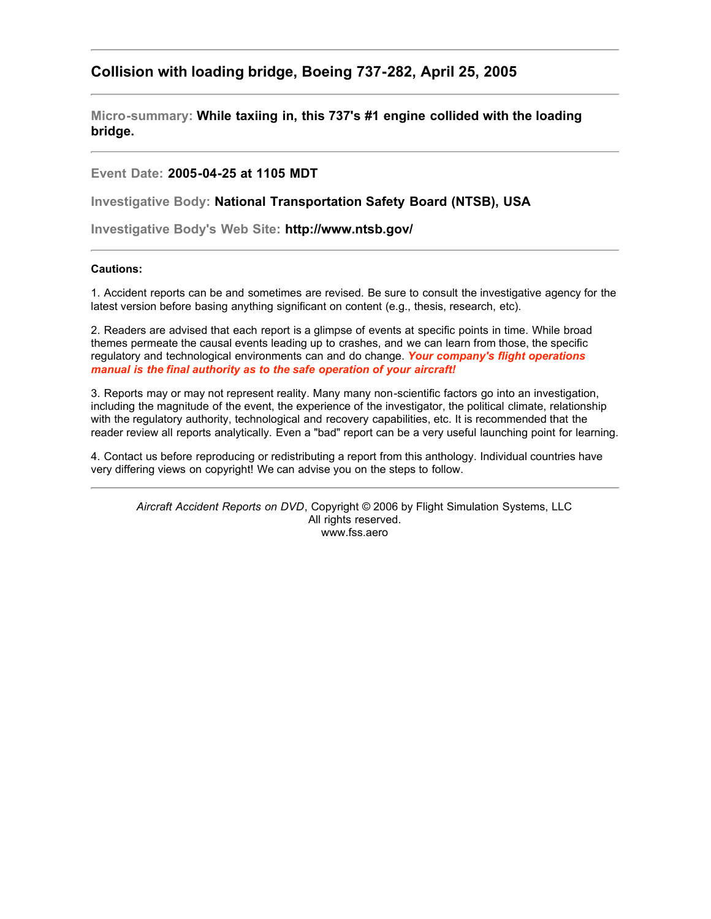## **Collision with loading bridge, Boeing 737-282, April 25, 2005**

**Micro-summary: While taxiing in, this 737's #1 engine collided with the loading bridge.**

## **Event Date: 2005-04-25 at 1105 MDT**

**Investigative Body: National Transportation Safety Board (NTSB), USA**

**Investigative Body's Web Site: http://www.ntsb.gov/**

## **Cautions:**

1. Accident reports can be and sometimes are revised. Be sure to consult the investigative agency for the latest version before basing anything significant on content (e.g., thesis, research, etc).

2. Readers are advised that each report is a glimpse of events at specific points in time. While broad themes permeate the causal events leading up to crashes, and we can learn from those, the specific regulatory and technological environments can and do change. *Your company's flight operations manual is the final authority as to the safe operation of your aircraft!*

3. Reports may or may not represent reality. Many many non-scientific factors go into an investigation, including the magnitude of the event, the experience of the investigator, the political climate, relationship with the regulatory authority, technological and recovery capabilities, etc. It is recommended that the reader review all reports analytically. Even a "bad" report can be a very useful launching point for learning.

4. Contact us before reproducing or redistributing a report from this anthology. Individual countries have very differing views on copyright! We can advise you on the steps to follow.

*Aircraft Accident Reports on DVD*, Copyright © 2006 by Flight Simulation Systems, LLC All rights reserved. www.fss.aero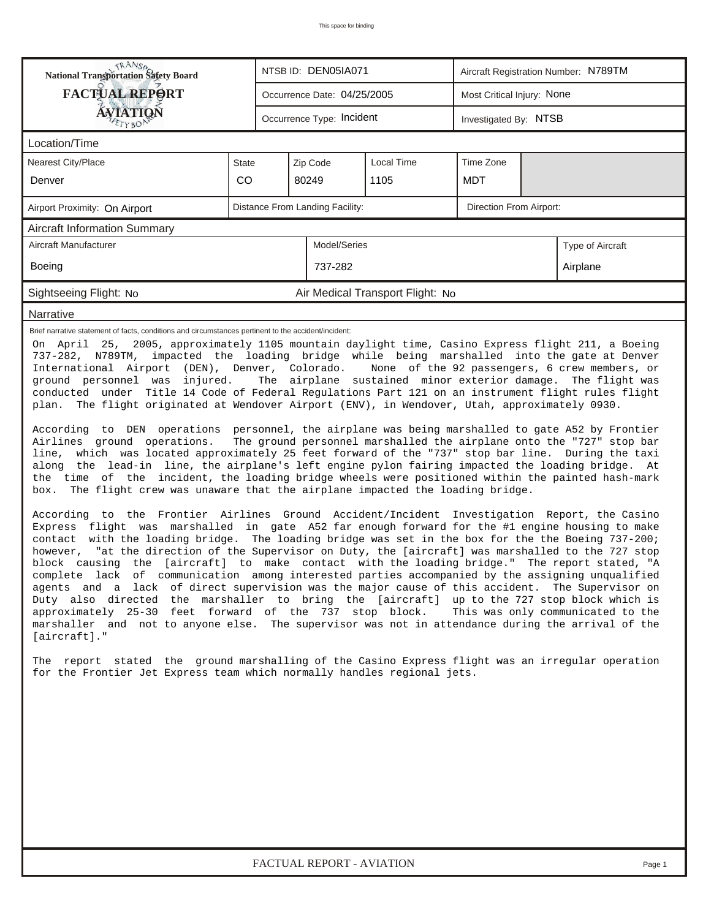| <b>NANSP</b><br>National Transportation Safety Board                                                                                                                                                                                                                                                                                                                                                                                                                                                                                                                                                                                                                                                                                                                                                                                                                                                                                                                                                                                                                                                                                                                                                                                                                                                                                                                                                                                                                                                                                                                                                                                                                                                                                                                                                                                                                                                                                                                                                                |              | NTSB ID: DEN05IA071                        |              |                                  |  | Aircraft Registration Number: N789TM |  |                                                                                                                                      |  |  |  |
|---------------------------------------------------------------------------------------------------------------------------------------------------------------------------------------------------------------------------------------------------------------------------------------------------------------------------------------------------------------------------------------------------------------------------------------------------------------------------------------------------------------------------------------------------------------------------------------------------------------------------------------------------------------------------------------------------------------------------------------------------------------------------------------------------------------------------------------------------------------------------------------------------------------------------------------------------------------------------------------------------------------------------------------------------------------------------------------------------------------------------------------------------------------------------------------------------------------------------------------------------------------------------------------------------------------------------------------------------------------------------------------------------------------------------------------------------------------------------------------------------------------------------------------------------------------------------------------------------------------------------------------------------------------------------------------------------------------------------------------------------------------------------------------------------------------------------------------------------------------------------------------------------------------------------------------------------------------------------------------------------------------------|--------------|--------------------------------------------|--------------|----------------------------------|--|--------------------------------------|--|--------------------------------------------------------------------------------------------------------------------------------------|--|--|--|
| <b>FACTUAL REPORT</b>                                                                                                                                                                                                                                                                                                                                                                                                                                                                                                                                                                                                                                                                                                                                                                                                                                                                                                                                                                                                                                                                                                                                                                                                                                                                                                                                                                                                                                                                                                                                                                                                                                                                                                                                                                                                                                                                                                                                                                                               |              | Occurrence Date: 04/25/2005                |              |                                  |  | Most Critical Injury: None           |  |                                                                                                                                      |  |  |  |
| AVIATION                                                                                                                                                                                                                                                                                                                                                                                                                                                                                                                                                                                                                                                                                                                                                                                                                                                                                                                                                                                                                                                                                                                                                                                                                                                                                                                                                                                                                                                                                                                                                                                                                                                                                                                                                                                                                                                                                                                                                                                                            |              | Occurrence Type: Incident                  |              |                                  |  | Investigated By: NTSB                |  |                                                                                                                                      |  |  |  |
| Location/Time                                                                                                                                                                                                                                                                                                                                                                                                                                                                                                                                                                                                                                                                                                                                                                                                                                                                                                                                                                                                                                                                                                                                                                                                                                                                                                                                                                                                                                                                                                                                                                                                                                                                                                                                                                                                                                                                                                                                                                                                       |              |                                            |              |                                  |  |                                      |  |                                                                                                                                      |  |  |  |
| <b>Nearest City/Place</b>                                                                                                                                                                                                                                                                                                                                                                                                                                                                                                                                                                                                                                                                                                                                                                                                                                                                                                                                                                                                                                                                                                                                                                                                                                                                                                                                                                                                                                                                                                                                                                                                                                                                                                                                                                                                                                                                                                                                                                                           | <b>State</b> | <b>Local Time</b><br>Zip Code<br>Time Zone |              |                                  |  |                                      |  |                                                                                                                                      |  |  |  |
| Denver                                                                                                                                                                                                                                                                                                                                                                                                                                                                                                                                                                                                                                                                                                                                                                                                                                                                                                                                                                                                                                                                                                                                                                                                                                                                                                                                                                                                                                                                                                                                                                                                                                                                                                                                                                                                                                                                                                                                                                                                              | <b>CO</b>    | 1105<br>MDT<br>80249                       |              |                                  |  |                                      |  |                                                                                                                                      |  |  |  |
| Airport Proximity: On Airport                                                                                                                                                                                                                                                                                                                                                                                                                                                                                                                                                                                                                                                                                                                                                                                                                                                                                                                                                                                                                                                                                                                                                                                                                                                                                                                                                                                                                                                                                                                                                                                                                                                                                                                                                                                                                                                                                                                                                                                       |              | Distance From Landing Facility:            |              |                                  |  | <b>Direction From Airport:</b>       |  |                                                                                                                                      |  |  |  |
| <b>Aircraft Information Summary</b>                                                                                                                                                                                                                                                                                                                                                                                                                                                                                                                                                                                                                                                                                                                                                                                                                                                                                                                                                                                                                                                                                                                                                                                                                                                                                                                                                                                                                                                                                                                                                                                                                                                                                                                                                                                                                                                                                                                                                                                 |              |                                            |              |                                  |  |                                      |  |                                                                                                                                      |  |  |  |
| Aircraft Manufacturer                                                                                                                                                                                                                                                                                                                                                                                                                                                                                                                                                                                                                                                                                                                                                                                                                                                                                                                                                                                                                                                                                                                                                                                                                                                                                                                                                                                                                                                                                                                                                                                                                                                                                                                                                                                                                                                                                                                                                                                               |              |                                            | Model/Series |                                  |  |                                      |  | Type of Aircraft                                                                                                                     |  |  |  |
| Boeing                                                                                                                                                                                                                                                                                                                                                                                                                                                                                                                                                                                                                                                                                                                                                                                                                                                                                                                                                                                                                                                                                                                                                                                                                                                                                                                                                                                                                                                                                                                                                                                                                                                                                                                                                                                                                                                                                                                                                                                                              |              |                                            | 737-282      |                                  |  |                                      |  | Airplane                                                                                                                             |  |  |  |
| Sightseeing Flight: No                                                                                                                                                                                                                                                                                                                                                                                                                                                                                                                                                                                                                                                                                                                                                                                                                                                                                                                                                                                                                                                                                                                                                                                                                                                                                                                                                                                                                                                                                                                                                                                                                                                                                                                                                                                                                                                                                                                                                                                              |              |                                            |              | Air Medical Transport Flight: No |  |                                      |  |                                                                                                                                      |  |  |  |
| Narrative                                                                                                                                                                                                                                                                                                                                                                                                                                                                                                                                                                                                                                                                                                                                                                                                                                                                                                                                                                                                                                                                                                                                                                                                                                                                                                                                                                                                                                                                                                                                                                                                                                                                                                                                                                                                                                                                                                                                                                                                           |              |                                            |              |                                  |  |                                      |  |                                                                                                                                      |  |  |  |
| 737-282, N789TM, impacted the loading bridge while being marshalled into the gate at Denver<br>International Airport (DEN), Denver, Colorado. None of the 92 passengers, 6 crew members, or<br>ground personnel was injured.<br>conducted under Title 14 Code of Federal Regulations Part 121 on an instrument flight rules flight<br>plan. The flight originated at Wendover Airport (ENV), in Wendover, Utah, approximately 0930.<br>According to DEN operations personnel, the airplane was being marshalled to gate A52 by Frontier<br>Airlines ground operations.<br>line, which was located approximately 25 feet forward of the "737" stop bar line. During the taxi<br>along the lead-in line, the airplane's left engine pylon fairing impacted the loading bridge. At<br>the time of the incident, the loading bridge wheels were positioned within the painted hash-mark<br>The flight crew was unaware that the airplane impacted the loading bridge.<br>box.<br>According to the Frontier Airlines Ground Accident/Incident Investigation Report, the Casino<br>Express flight was marshalled in gate A52 far enough forward for the #1 engine housing to make<br>contact with the loading bridge. The loading bridge was set in the box for the the Boeing 737-200;<br>however, "at the direction of the Supervisor on Duty, the [aircraft] was marshalled to the 727 stop<br>block causing the [aircraft] to make contact with the loading bridge." The report stated, "A<br>complete lack of communication among interested parties accompanied by the assigning unqualified<br>agents and a lack of direct supervision was the major cause of this accident. The Supervisor on<br>Duty also directed the marshaller to bring the [aircraft] up to the 727 stop block which is<br>approximately 25-30 feet forward of the 737 stop block. This was only communicated to the<br>marshaller and not to anyone else. The supervisor was not in attendance during the arrival of the<br>$[aircraft].$ " |              |                                            |              |                                  |  |                                      |  | The airplane sustained minor exterior damage. The flight was<br>The ground personnel marshalled the airplane onto the "727" stop bar |  |  |  |
| The report stated the ground marshalling of the Casino Express flight was an irregular operation<br>for the Frontier Jet Express team which normally handles regional jets.                                                                                                                                                                                                                                                                                                                                                                                                                                                                                                                                                                                                                                                                                                                                                                                                                                                                                                                                                                                                                                                                                                                                                                                                                                                                                                                                                                                                                                                                                                                                                                                                                                                                                                                                                                                                                                         |              |                                            |              |                                  |  |                                      |  |                                                                                                                                      |  |  |  |
| FACTUAL REPORT - AVIATION<br>Page 1                                                                                                                                                                                                                                                                                                                                                                                                                                                                                                                                                                                                                                                                                                                                                                                                                                                                                                                                                                                                                                                                                                                                                                                                                                                                                                                                                                                                                                                                                                                                                                                                                                                                                                                                                                                                                                                                                                                                                                                 |              |                                            |              |                                  |  |                                      |  |                                                                                                                                      |  |  |  |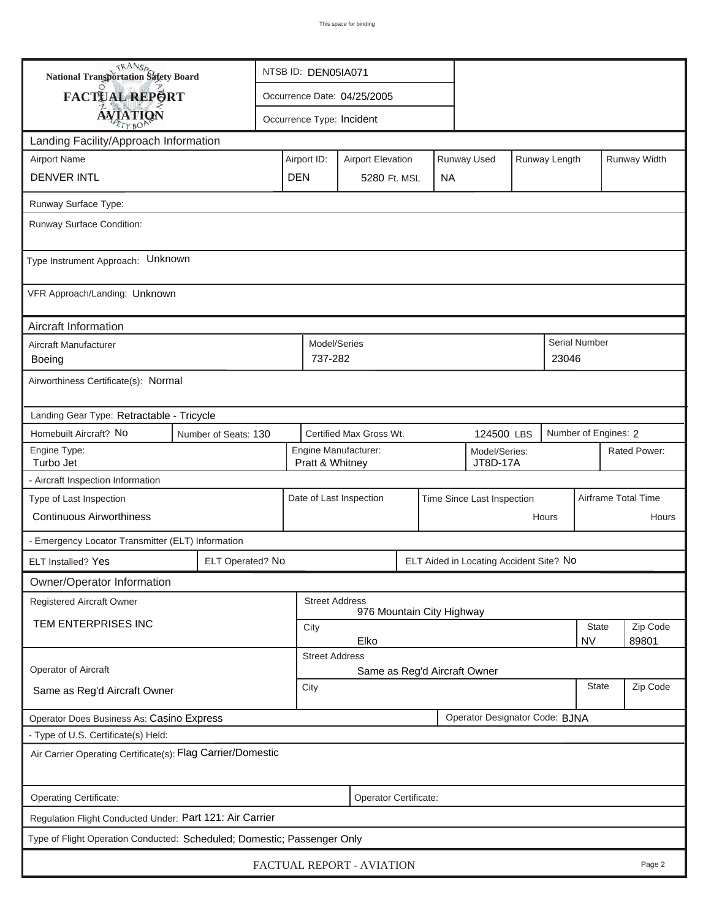| <b>National Transportation Safety Board</b>                                                                     |                  | NTSB ID: DEN05IA071                                                     |                             |                                         |                            |  |                                         |  |                     |               |          |  |
|-----------------------------------------------------------------------------------------------------------------|------------------|-------------------------------------------------------------------------|-----------------------------|-----------------------------------------|----------------------------|--|-----------------------------------------|--|---------------------|---------------|----------|--|
| FACTUAL REPORT                                                                                                  |                  |                                                                         | Occurrence Date: 04/25/2005 |                                         |                            |  |                                         |  |                     |               |          |  |
| <b>AVIATION</b>                                                                                                 |                  |                                                                         |                             | Occurrence Type: Incident               |                            |  |                                         |  |                     |               |          |  |
| Landing Facility/Approach Information                                                                           |                  |                                                                         |                             |                                         |                            |  |                                         |  |                     |               |          |  |
| <b>Airport Name</b>                                                                                             |                  | Runway Used<br>Runway Length<br>Airport ID:<br><b>Airport Elevation</b> |                             |                                         |                            |  |                                         |  |                     | Runway Width  |          |  |
| <b>DENVER INTL</b>                                                                                              | <b>DEN</b>       |                                                                         | 5280 Ft. MSL                |                                         | <b>NA</b>                  |  |                                         |  |                     |               |          |  |
| Runway Surface Type:                                                                                            |                  |                                                                         |                             |                                         |                            |  |                                         |  |                     |               |          |  |
| Runway Surface Condition:                                                                                       |                  |                                                                         |                             |                                         |                            |  |                                         |  |                     |               |          |  |
| Type Instrument Approach: Unknown                                                                               |                  |                                                                         |                             |                                         |                            |  |                                         |  |                     |               |          |  |
| VFR Approach/Landing: Unknown                                                                                   |                  |                                                                         |                             |                                         |                            |  |                                         |  |                     |               |          |  |
| Aircraft Information                                                                                            |                  |                                                                         |                             |                                         |                            |  |                                         |  |                     |               |          |  |
| Aircraft Manufacturer<br><b>Boeing</b>                                                                          |                  |                                                                         | Model/Series<br>737-282     |                                         |                            |  |                                         |  | 23046               | Serial Number |          |  |
| Airworthiness Certificate(s): Normal                                                                            |                  |                                                                         |                             |                                         |                            |  |                                         |  |                     |               |          |  |
| Landing Gear Type: Retractable - Tricycle                                                                       |                  |                                                                         |                             |                                         |                            |  |                                         |  |                     |               |          |  |
| Homebuilt Aircraft? No<br>Certified Max Gross Wt.<br>Number of Engines: 2<br>Number of Seats: 130<br>124500 LBS |                  |                                                                         |                             |                                         |                            |  |                                         |  |                     |               |          |  |
| Engine Type:<br>Turbo Jet                                                                                       |                  |                                                                         |                             | Engine Manufacturer:<br>Pratt & Whitney | Model/Series:<br>JT8D-17A  |  |                                         |  | Rated Power:        |               |          |  |
| - Aircraft Inspection Information                                                                               |                  |                                                                         |                             |                                         |                            |  |                                         |  |                     |               |          |  |
| Type of Last Inspection                                                                                         |                  |                                                                         |                             | Date of Last Inspection                 | Time Since Last Inspection |  |                                         |  | Airframe Total Time |               |          |  |
| <b>Continuous Airworthiness</b>                                                                                 |                  |                                                                         |                             |                                         |                            |  | Hours                                   |  | Hours               |               |          |  |
| - Emergency Locator Transmitter (ELT) Information                                                               |                  |                                                                         |                             |                                         |                            |  |                                         |  |                     |               |          |  |
| ELT Installed? Yes                                                                                              | ELT Operated? No |                                                                         |                             |                                         |                            |  | ELT Aided in Locating Accident Site? No |  |                     |               |          |  |
| Owner/Operator Information                                                                                      |                  |                                                                         |                             |                                         |                            |  |                                         |  |                     |               |          |  |
| <b>Registered Aircraft Owner</b>                                                                                |                  |                                                                         | <b>Street Address</b>       | 976 Mountain City Highway               |                            |  |                                         |  |                     |               |          |  |
| TEM ENTERPRISES INC                                                                                             |                  |                                                                         | <b>State</b><br>City        |                                         |                            |  |                                         |  |                     |               | Zip Code |  |
|                                                                                                                 |                  |                                                                         | <b>Street Address</b>       | Elko                                    |                            |  |                                         |  |                     | <b>NV</b>     | 89801    |  |
| Operator of Aircraft                                                                                            |                  | Same as Reg'd Aircraft Owner                                            |                             |                                         |                            |  |                                         |  |                     |               |          |  |
| Same as Reg'd Aircraft Owner                                                                                    |                  | City                                                                    |                             |                                         |                            |  |                                         |  | <b>State</b>        | Zip Code      |          |  |
| Operator Does Business As: Casino Express                                                                       |                  |                                                                         |                             |                                         |                            |  | Operator Designator Code: BJNA          |  |                     |               |          |  |
| - Type of U.S. Certificate(s) Held:                                                                             |                  |                                                                         |                             |                                         |                            |  |                                         |  |                     |               |          |  |
| Air Carrier Operating Certificate(s): Flag Carrier/Domestic                                                     |                  |                                                                         |                             |                                         |                            |  |                                         |  |                     |               |          |  |
| Operating Certificate:<br>Operator Certificate:                                                                 |                  |                                                                         |                             |                                         |                            |  |                                         |  |                     |               |          |  |
| Regulation Flight Conducted Under: Part 121: Air Carrier                                                        |                  |                                                                         |                             |                                         |                            |  |                                         |  |                     |               |          |  |
| Type of Flight Operation Conducted: Scheduled; Domestic; Passenger Only                                         |                  |                                                                         |                             |                                         |                            |  |                                         |  |                     |               |          |  |
|                                                                                                                 |                  |                                                                         |                             | FACTUAL REPORT - AVIATION               |                            |  |                                         |  |                     |               | Page 2   |  |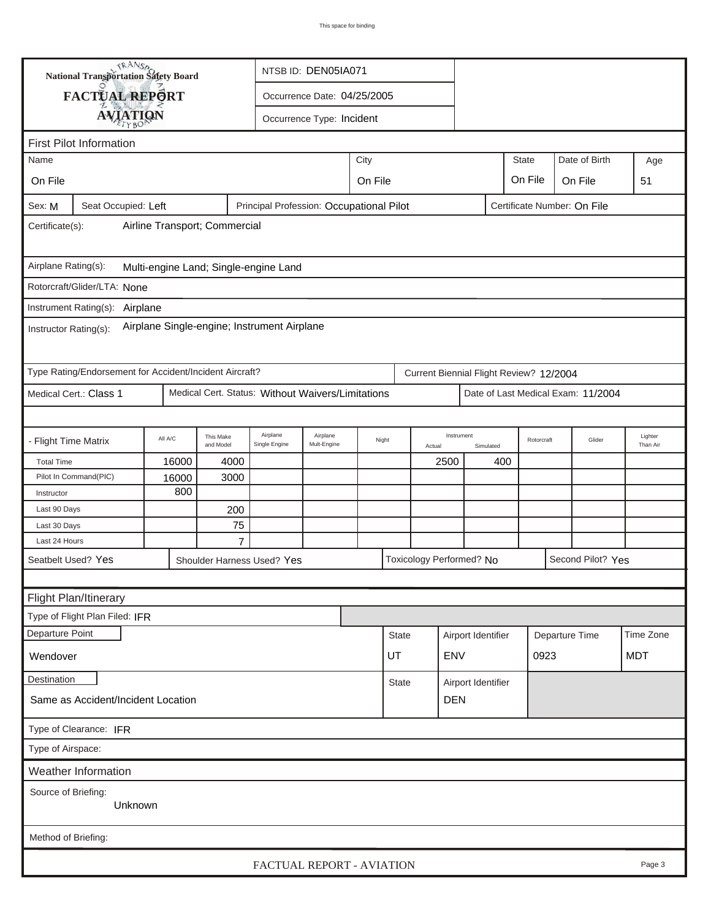| TRANSO.<br><b>National Transportation Safety Board</b>                                                   |                                                         |         |                        |                                                   | NTSB ID: DEN05IA071         |      |              |        |                          |                    |                                         |                    |                                    |                     |
|----------------------------------------------------------------------------------------------------------|---------------------------------------------------------|---------|------------------------|---------------------------------------------------|-----------------------------|------|--------------|--------|--------------------------|--------------------|-----------------------------------------|--------------------|------------------------------------|---------------------|
|                                                                                                          | FACTUAL REPORT                                          |         |                        |                                                   | Occurrence Date: 04/25/2005 |      |              |        |                          |                    |                                         |                    |                                    |                     |
|                                                                                                          | <b>AVIATION</b>                                         |         |                        |                                                   | Occurrence Type: Incident   |      |              |        |                          |                    |                                         |                    |                                    |                     |
|                                                                                                          |                                                         |         |                        |                                                   |                             |      |              |        |                          |                    |                                         |                    |                                    |                     |
| Name                                                                                                     | <b>First Pilot Information</b>                          |         |                        |                                                   |                             |      |              |        |                          |                    | <b>State</b>                            |                    | Date of Birth                      |                     |
|                                                                                                          |                                                         |         |                        |                                                   |                             | City |              |        |                          |                    |                                         |                    | Age                                |                     |
| On File<br>On File<br>On File                                                                            |                                                         |         |                        |                                                   |                             |      |              |        |                          |                    | On File                                 | 51                 |                                    |                     |
| Seat Occupied: Left<br>Principal Profession: Occupational Pilot<br>Certificate Number: On File<br>Sex: M |                                                         |         |                        |                                                   |                             |      |              |        |                          |                    |                                         |                    |                                    |                     |
| Airline Transport; Commercial<br>Certificate(s):                                                         |                                                         |         |                        |                                                   |                             |      |              |        |                          |                    |                                         |                    |                                    |                     |
| Airplane Rating(s):<br>Multi-engine Land; Single-engine Land                                             |                                                         |         |                        |                                                   |                             |      |              |        |                          |                    |                                         |                    |                                    |                     |
|                                                                                                          | Rotorcraft/Glider/LTA: None                             |         |                        |                                                   |                             |      |              |        |                          |                    |                                         |                    |                                    |                     |
|                                                                                                          | Instrument Rating(s): Airplane                          |         |                        |                                                   |                             |      |              |        |                          |                    |                                         |                    |                                    |                     |
| Airplane Single-engine; Instrument Airplane<br>Instructor Rating(s):                                     |                                                         |         |                        |                                                   |                             |      |              |        |                          |                    |                                         |                    |                                    |                     |
|                                                                                                          | Type Rating/Endorsement for Accident/Incident Aircraft? |         |                        |                                                   |                             |      |              |        |                          |                    | Current Biennial Flight Review? 12/2004 |                    |                                    |                     |
|                                                                                                          | Medical Cert.: Class 1                                  |         |                        | Medical Cert. Status: Without Waivers/Limitations |                             |      |              |        |                          |                    |                                         |                    | Date of Last Medical Exam: 11/2004 |                     |
|                                                                                                          |                                                         |         |                        |                                                   |                             |      |              |        |                          |                    |                                         |                    |                                    |                     |
| - Flight Time Matrix                                                                                     |                                                         | All A/C | This Make<br>and Model | Airplane<br>Single Engine                         | Airplane<br>Mult-Engine     |      | Night        | Actual | Instrument               | Simulated          |                                         | Rotorcraft         | Glider                             | Lighter<br>Than Air |
| <b>Total Time</b>                                                                                        |                                                         | 16000   | 4000                   |                                                   |                             |      |              |        | 2500                     | 400                |                                         |                    |                                    |                     |
|                                                                                                          | Pilot In Command(PIC)                                   | 16000   | 3000                   |                                                   |                             |      |              |        |                          |                    |                                         |                    |                                    |                     |
| Instructor                                                                                               |                                                         | 800     |                        |                                                   |                             |      |              |        |                          |                    |                                         |                    |                                    |                     |
| Last 90 Days                                                                                             |                                                         |         | 200                    |                                                   |                             |      |              |        |                          |                    |                                         |                    |                                    |                     |
| Last 30 Days<br>Last 24 Hours                                                                            |                                                         |         | 75<br>$\overline{7}$   |                                                   |                             |      |              |        |                          |                    |                                         |                    |                                    |                     |
|                                                                                                          | Seatbelt Used? Yes                                      |         |                        |                                                   |                             |      |              |        | Toxicology Performed? No |                    |                                         |                    | Second Pilot? Yes                  |                     |
|                                                                                                          |                                                         |         |                        | Shoulder Harness Used? Yes                        |                             |      |              |        |                          |                    |                                         |                    |                                    |                     |
|                                                                                                          |                                                         |         |                        |                                                   |                             |      |              |        |                          |                    |                                         |                    |                                    |                     |
|                                                                                                          | Flight Plan/Itinerary                                   |         |                        |                                                   |                             |      |              |        |                          |                    |                                         |                    |                                    |                     |
|                                                                                                          | Type of Flight Plan Filed: IFR                          |         |                        |                                                   |                             |      |              |        |                          |                    |                                         |                    |                                    |                     |
| Departure Point                                                                                          |                                                         |         |                        |                                                   |                             |      | State        |        |                          | Airport Identifier |                                         | Departure Time     |                                    | Time Zone           |
| Wendover                                                                                                 |                                                         |         |                        |                                                   |                             |      | <b>UT</b>    |        | <b>ENV</b>               |                    |                                         | 0923<br><b>MDT</b> |                                    |                     |
| Destination                                                                                              |                                                         |         |                        |                                                   |                             |      | <b>State</b> |        | Airport Identifier       |                    |                                         |                    |                                    |                     |
|                                                                                                          | Same as Accident/Incident Location                      |         |                        |                                                   |                             |      |              |        | <b>DEN</b>               |                    |                                         |                    |                                    |                     |
|                                                                                                          | Type of Clearance: IFR                                  |         |                        |                                                   |                             |      |              |        |                          |                    |                                         |                    |                                    |                     |
| Type of Airspace:                                                                                        |                                                         |         |                        |                                                   |                             |      |              |        |                          |                    |                                         |                    |                                    |                     |
|                                                                                                          | <b>Weather Information</b>                              |         |                        |                                                   |                             |      |              |        |                          |                    |                                         |                    |                                    |                     |
|                                                                                                          | Source of Briefing:<br>Unknown                          |         |                        |                                                   |                             |      |              |        |                          |                    |                                         |                    |                                    |                     |
| Method of Briefing:                                                                                      |                                                         |         |                        |                                                   |                             |      |              |        |                          |                    |                                         |                    |                                    |                     |
|                                                                                                          |                                                         |         |                        |                                                   | FACTUAL REPORT - AVIATION   |      |              |        |                          |                    |                                         |                    |                                    | Page 3              |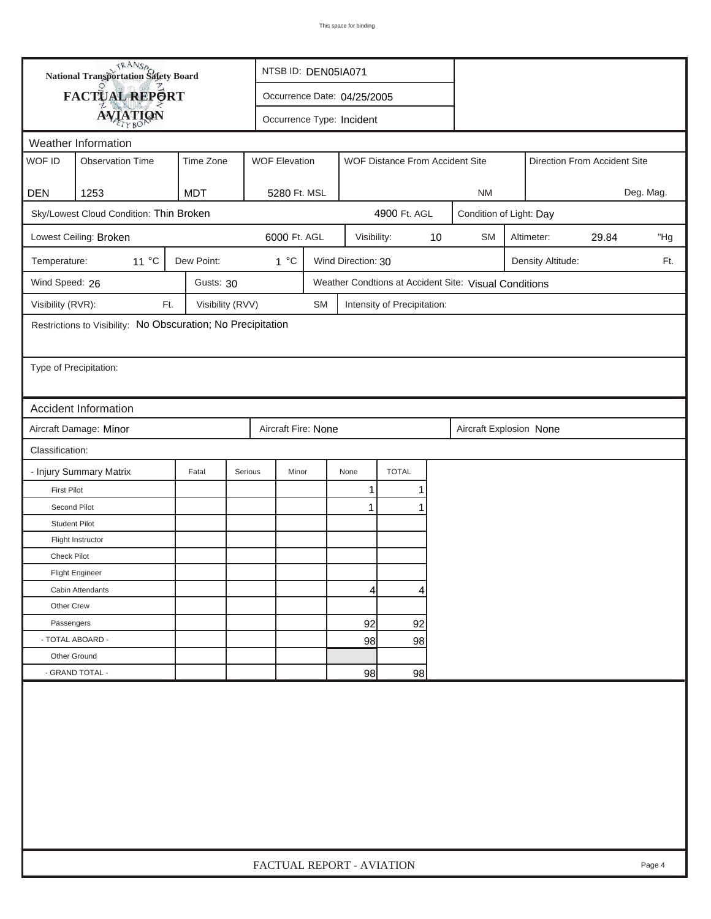| <b>National Transportation Safety Board</b> |                                                              |                  |                             | NTSB ID: DEN05IA071                                     |                    |                             |    |                                                       |  |                   |                              |           |
|---------------------------------------------|--------------------------------------------------------------|------------------|-----------------------------|---------------------------------------------------------|--------------------|-----------------------------|----|-------------------------------------------------------|--|-------------------|------------------------------|-----------|
|                                             | FACTUAL REPORT                                               |                  | Occurrence Date: 04/25/2005 |                                                         |                    |                             |    |                                                       |  |                   |                              |           |
|                                             | <b>AVIATION</b>                                              |                  | Occurrence Type: Incident   |                                                         |                    |                             |    |                                                       |  |                   |                              |           |
|                                             | Weather Information                                          |                  |                             |                                                         |                    |                             |    |                                                       |  |                   |                              |           |
| WOF ID                                      | <b>Observation Time</b>                                      | Time Zone        |                             | <b>WOF Elevation</b><br>WOF Distance From Accident Site |                    |                             |    |                                                       |  |                   | Direction From Accident Site |           |
| <b>DEN</b>                                  | 1253                                                         | <b>MDT</b>       | 5280 Ft. MSL                |                                                         |                    |                             |    | <b>NM</b>                                             |  |                   |                              | Deg. Mag. |
|                                             | Sky/Lowest Cloud Condition: Thin Broken                      |                  |                             |                                                         |                    | 4900 Ft. AGL                |    | Condition of Light: Day                               |  |                   |                              |           |
|                                             |                                                              |                  |                             |                                                         |                    |                             |    |                                                       |  |                   |                              |           |
|                                             | Lowest Ceiling: Broken                                       |                  | 6000 Ft. AGL                |                                                         | Visibility:        |                             | 10 | <b>SM</b>                                             |  | Altimeter:        | 29.84                        | "Hg       |
| Temperature:                                | 11 °C                                                        | Dew Point:       | $1^{\circ}C$                |                                                         | Wind Direction: 30 |                             |    |                                                       |  | Density Altitude: |                              | Ft.       |
| Wind Speed: 26                              |                                                              | Gusts: 30        |                             |                                                         |                    |                             |    | Weather Condtions at Accident Site: Visual Conditions |  |                   |                              |           |
| Visibility (RVR):                           | Ft.                                                          | Visibility (RVV) |                             | <b>SM</b>                                               |                    | Intensity of Precipitation: |    |                                                       |  |                   |                              |           |
|                                             | Restrictions to Visibility: No Obscuration; No Precipitation |                  |                             |                                                         |                    |                             |    |                                                       |  |                   |                              |           |
| Type of Precipitation:                      |                                                              |                  |                             |                                                         |                    |                             |    |                                                       |  |                   |                              |           |
|                                             | Accident Information                                         |                  |                             |                                                         |                    |                             |    |                                                       |  |                   |                              |           |
|                                             | Aircraft Damage: Minor                                       |                  | Aircraft Fire: None         |                                                         |                    |                             |    | Aircraft Explosion None                               |  |                   |                              |           |
| Classification:                             |                                                              |                  |                             |                                                         |                    |                             |    |                                                       |  |                   |                              |           |
|                                             | - Injury Summary Matrix                                      | Fatal            | Serious<br>Minor            |                                                         | None               | <b>TOTAL</b>                |    |                                                       |  |                   |                              |           |
| <b>First Pilot</b>                          |                                                              |                  |                             |                                                         | 1                  | 1                           |    |                                                       |  |                   |                              |           |
| Second Pilot                                |                                                              |                  |                             |                                                         | 1                  |                             |    |                                                       |  |                   |                              |           |
| <b>Student Pilot</b>                        |                                                              |                  |                             |                                                         |                    |                             |    |                                                       |  |                   |                              |           |
|                                             | Flight Instructor                                            |                  |                             |                                                         |                    |                             |    |                                                       |  |                   |                              |           |
| <b>Check Pilot</b>                          |                                                              |                  |                             |                                                         |                    |                             |    |                                                       |  |                   |                              |           |
|                                             | <b>Flight Engineer</b>                                       |                  |                             |                                                         |                    |                             |    |                                                       |  |                   |                              |           |
|                                             | Cabin Attendants                                             |                  |                             |                                                         | 4                  | 4                           |    |                                                       |  |                   |                              |           |
| Other Crew                                  |                                                              |                  |                             |                                                         |                    |                             |    |                                                       |  |                   |                              |           |
| Passengers                                  |                                                              |                  |                             |                                                         | 92                 | 92                          |    |                                                       |  |                   |                              |           |
| - TOTAL ABOARD -                            |                                                              |                  |                             |                                                         | 98                 | 98                          |    |                                                       |  |                   |                              |           |
| Other Ground                                | - GRAND TOTAL -                                              |                  |                             |                                                         |                    |                             |    |                                                       |  |                   |                              |           |
|                                             |                                                              |                  |                             |                                                         | 98                 | 98                          |    |                                                       |  |                   |                              |           |
|                                             |                                                              |                  |                             |                                                         |                    |                             |    |                                                       |  |                   |                              |           |
|                                             |                                                              |                  |                             |                                                         |                    |                             |    |                                                       |  |                   |                              |           |
|                                             |                                                              |                  |                             |                                                         |                    |                             |    |                                                       |  |                   |                              |           |
|                                             |                                                              |                  |                             |                                                         |                    |                             |    |                                                       |  |                   |                              |           |
|                                             |                                                              |                  |                             |                                                         |                    |                             |    |                                                       |  |                   |                              |           |
|                                             |                                                              |                  |                             |                                                         |                    |                             |    |                                                       |  |                   |                              |           |
|                                             |                                                              |                  | FACTUAL REPORT - AVIATION   |                                                         |                    |                             |    |                                                       |  |                   |                              | Page 4    |